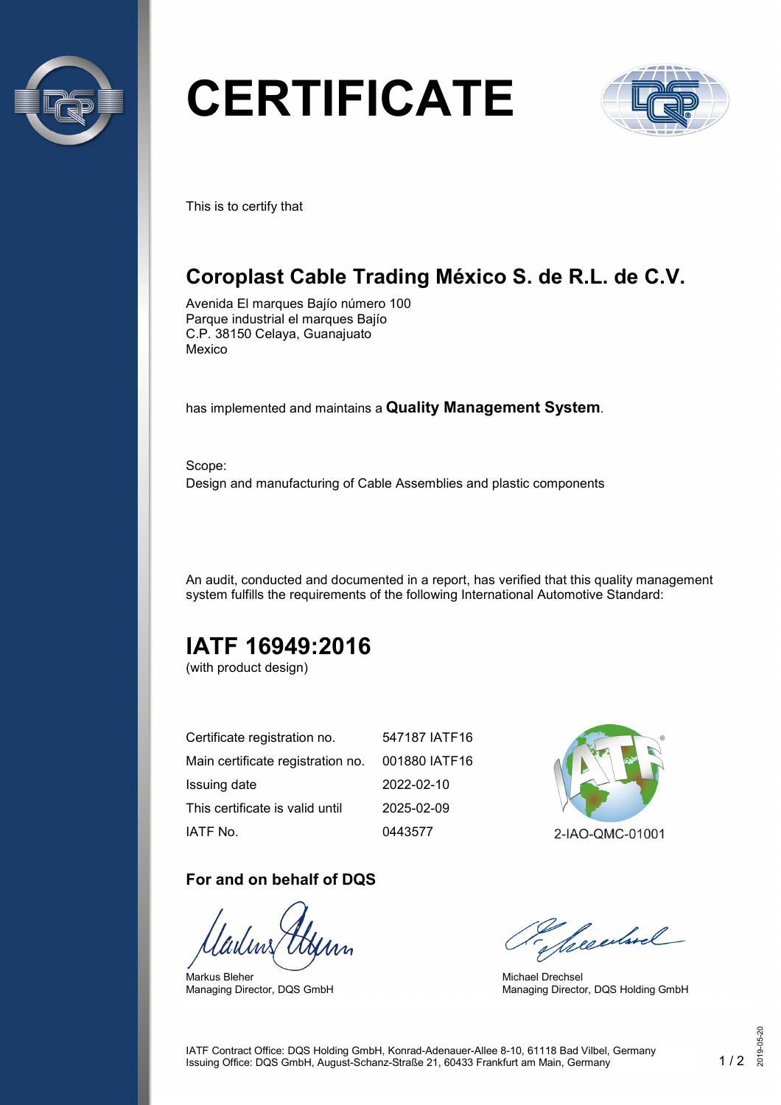

# **CERTIFICATE**



This is to certify that

# **Coroplast Cable Trading México S. de R.L. de C.V.**

Avenida El marques Bajío número 100 Parque industrial el marques Bajío C.P. 38150 Celaya, Guanajuato Mexico

has implemented and maintains a **Quality Management System**.

Scope: Design and manufacturing of Cable Assemblies and plastic components

An audit, conducted and documented in a report, has verified that this quality management system fulfills the requirements of the following International Automotive Standard:

# **IATF 16949:2016**

(with product design)

| Certificate registration no.      | 547187 IATF16 |
|-----------------------------------|---------------|
| Main certificate registration no. | 001880 IATF16 |
| Issuing date                      | 2022-02-10    |
| This certificate is valid until   | 2025-02-09    |
| IATF No.                          | 0443577       |

#### **For and on behalf of DQS**

Markus Bleher Managing Director, DQS GmbH



2-IAO-QMC-01001

Secularel

Michael Drechsel Managing Director, DQS Holding GmbH

IATF Contract Office: DQS Holding GmbH, Konrad-Adenauer-Allee 8-10, 61118 Bad Vilbel, Germany Issuing Office: DQS GmbH, August-Schanz-Straße 21, 60433 Frankfurt am Main, Germany 1 / 2